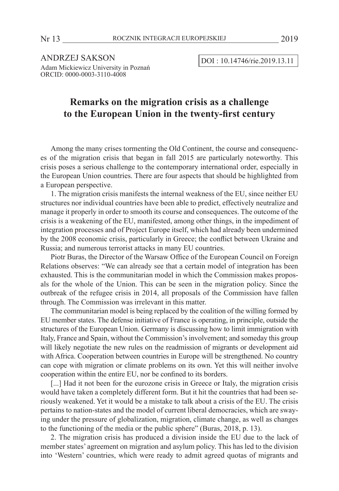ANDRZEJ SAKSON DOI : 10.14746/rie.2019.13.11 Adam Mickiewicz University in Poznań ORCID: 0000-0003-3110-4008

# **Remarks on the migration crisis as a challenge to the European Union in the twenty-first century**

Among the many crises tormenting the Old Continent, the course and consequences of the migration crisis that began in fall 2015 are particularly noteworthy. This crisis poses a serious challenge to the contemporary international order, especially in the European Union countries. There are four aspects that should be highlighted from a European perspective.

1. The migration crisis manifests the internal weakness of the EU, since neither EU structures nor individual countries have been able to predict, effectively neutralize and manage it properly in order to smooth its course and consequences. The outcome of the crisis is a weakening of the EU, manifested, among other things, in the impediment of integration processes and of Project Europe itself, which had already been undermined by the 2008 economic crisis, particularly in Greece; the conflict between Ukraine and Russia; and numerous terrorist attacks in many EU countries.

Piotr Buras, the Director of the Warsaw Office of the European Council on Foreign Relations observes: "We can already see that a certain model of integration has been exhausted. This is the communitarian model in which the Commission makes proposals for the whole of the Union. This can be seen in the migration policy. Since the outbreak of the refugee crisis in 2014, all proposals of the Commission have fallen through. The Commission was irrelevant in this matter.

The communitarian model is being replaced by the coalition of the willing formed by EU member states. The defense initiative of France is operating, in principle, outside the structures of the European Union. Germany is discussing how to limit immigration with Italy, France and Spain, without the Commission's involvement; and someday this group will likely negotiate the new rules on the readmission of migrants or development aid with Africa. Cooperation between countries in Europe will be strengthened. No country can cope with migration or climate problems on its own. Yet this will neither involve cooperation within the entire EU, nor be confined to its borders.

[...] Had it not been for the eurozone crisis in Greece or Italy, the migration crisis would have taken a completely different form. But it hit the countries that had been seriously weakened. Yet it would be a mistake to talk about a crisis of the EU. The crisis pertains to nation-states and the model of current liberal democracies, which are swaying under the pressure of globalization, migration, climate change, as well as changes to the functioning of the media or the public sphere" (Buras, 2018, p. 13).

2. The migration crisis has produced a division inside the EU due to the lack of member states' agreement on migration and asylum policy. This has led to the division into 'Western' countries, which were ready to admit agreed quotas of migrants and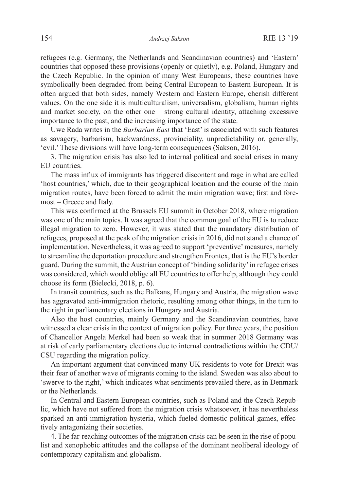refugees (e.g. Germany, the Netherlands and Scandinavian countries) and 'Eastern' countries that opposed these provisions (openly or quietly), e.g. Poland, Hungary and the Czech Republic. In the opinion of many West Europeans, these countries have symbolically been degraded from being Central European to Eastern European. It is often argued that both sides, namely Western and Eastern Europe, cherish different values. On the one side it is multiculturalism, universalism, globalism, human rights and market society, on the other one – strong cultural identity, attaching excessive importance to the past, and the increasing importance of the state.

Uwe Rada writes in the *Barbarian East* that 'East' is associated with such features as savagery, barbarism, backwardness, provinciality, unpredictability or, generally, 'evil.' These divisions will have long-term consequences (Sakson, 2016).

3. The migration crisis has also led to internal political and social crises in many EU countries.

The mass influx of immigrants has triggered discontent and rage in what are called 'host countries,' which, due to their geographical location and the course of the main migration routes, have been forced to admit the main migration wave; first and foremost – Greece and Italy.

This was confirmed at the Brussels EU summit in October 2018, where migration was one of the main topics. It was agreed that the common goal of the EU is to reduce illegal migration to zero. However, it was stated that the mandatory distribution of refugees, proposed at the peak of the migration crisis in 2016, did not stand a chance of implementation. Nevertheless, it was agreed to support 'preventive' measures, namely to streamline the deportation procedure and strengthen Frontex, that is the EU's border guard. During the summit, the Austrian concept of 'binding solidarity' in refugee crises was considered, which would oblige all EU countries to offer help, although they could choose its form (Bielecki, 2018, p. 6).

In transit countries, such as the Balkans, Hungary and Austria, the migration wave has aggravated anti-immigration rhetoric, resulting among other things, in the turn to the right in parliamentary elections in Hungary and Austria.

Also the host countries, mainly Germany and the Scandinavian countries, have witnessed a clear crisis in the context of migration policy. For three years, the position of Chancellor Angela Merkel had been so weak that in summer 2018 Germany was at risk of early parliamentary elections due to internal contradictions within the CDU/ CSU regarding the migration policy.

An important argument that convinced many UK residents to vote for Brexit was their fear of another wave of migrants coming to the island. Sweden was also about to 'swerve to the right,' which indicates what sentiments prevailed there, as in Denmark or the Netherlands.

In Central and Eastern European countries, such as Poland and the Czech Republic, which have not suffered from the migration crisis whatsoever, it has nevertheless sparked an anti-immigration hysteria, which fueled domestic political games, effectively antagonizing their societies.

4. The far-reaching outcomes of the migration crisis can be seen in the rise of populist and xenophobic attitudes and the collapse of the dominant neoliberal ideology of contemporary capitalism and globalism.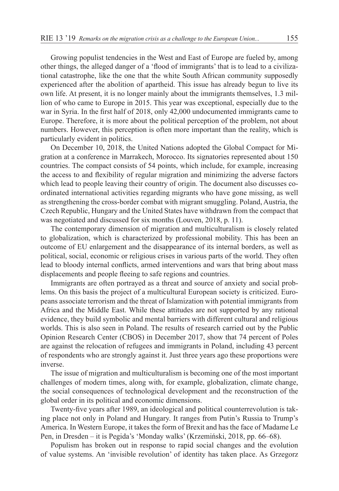Growing populist tendencies in the West and East of Europe are fueled by, among other things, the alleged danger of a 'flood of immigrants' that is to lead to a civilizational catastrophe, like the one that the white South African community supposedly experienced after the abolition of apartheid. This issue has already begun to live its own life. At present, it is no longer mainly about the immigrants themselves, 1.3 million of who came to Europe in 2015. This year was exceptional, especially due to the war in Syria. In the first half of 2018, only 42,000 undocumented immigrants came to Europe. Therefore, it is more about the political perception of the problem, not about numbers. However, this perception is often more important than the reality, which is particularly evident in politics.

On December 10, 2018, the United Nations adopted the Global Compact for Migration at a conference in Marrakech, Morocco. Its signatories represented about 150 countries. The compact consists of 54 points, which include, for example, increasing the access to and flexibility of regular migration and minimizing the adverse factors which lead to people leaving their country of origin. The document also discusses coordinated international activities regarding migrants who have gone missing, as well as strengthening the cross-border combat with migrant smuggling. Poland, Austria, the Czech Republic, Hungary and the United States have withdrawn from the compact that was negotiated and discussed for six months (Louven, 2018, p. 11).

The contemporary dimension of migration and multiculturalism is closely related to globalization, which is characterized by professional mobility. This has been an outcome of EU enlargement and the disappearance of its internal borders, as well as political, social, economic or religious crises in various parts of the world. They often lead to bloody internal conflicts, armed interventions and wars that bring about mass displacements and people fleeing to safe regions and countries.

Immigrants are often portrayed as a threat and source of anxiety and social problems. On this basis the project of a multicultural European society is criticized. Europeans associate terrorism and the threat of Islamization with potential immigrants from Africa and the Middle East. While these attitudes are not supported by any rational evidence, they build symbolic and mental barriers with different cultural and religious worlds. This is also seen in Poland. The results of research carried out by the Public Opinion Research Center (CBOS) in December 2017, show that 74 percent of Poles are against the relocation of refugees and immigrants in Poland, including 43 percent of respondents who are strongly against it. Just three years ago these proportions were inverse.

The issue of migration and multiculturalism is becoming one of the most important challenges of modern times, along with, for example, globalization, climate change, the social consequences of technological development and the reconstruction of the global order in its political and economic dimensions.

Twenty-five years after 1989, an ideological and political counterrevolution is taking place not only in Poland and Hungary. It ranges from Putin's Russia to Trump's America. In Western Europe, it takes the form of Brexit and has the face of Madame Le Pen, in Dresden – it is Pegida's 'Monday walks' (Krzemiński, 2018, pp. 66–68).

Populism has broken out in response to rapid social changes and the evolution of value systems. An 'invisible revolution' of identity has taken place. As Grzegorz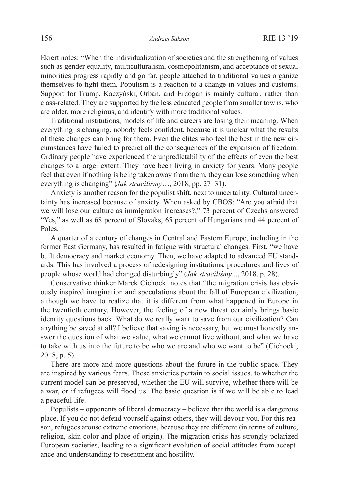Ekiert notes: "When the individualization of societies and the strengthening of values such as gender equality, multiculturalism, cosmopolitanism, and acceptance of sexual minorities progress rapidly and go far, people attached to traditional values organize themselves to fight them. Populism is a reaction to a change in values and customs. Support for Trump, Kaczyński, Orban, and Erdogan is mainly cultural, rather than class-related. They are supported by the less educated people from smaller towns, who are older, more religious, and identify with more traditional values.

Traditional institutions, models of life and careers are losing their meaning. When everything is changing, nobody feels confident, because it is unclear what the results of these changes can bring for them. Even the elites who feel the best in the new circumstances have failed to predict all the consequences of the expansion of freedom. Ordinary people have experienced the unpredictability of the effects of even the best changes to a larger extent. They have been living in anxiety for years. Many people feel that even if nothing is being taken away from them, they can lose something when everything is changing" (*Jak straciliśmy*…, 2018, pp. 27–31).

Anxiety is another reason for the populist shift, next to uncertainty. Cultural uncertainty has increased because of anxiety. When asked by CBOS: "Are you afraid that we will lose our culture as immigration increases?," 73 percent of Czechs answered "Yes," as well as 68 percent of Slovaks, 65 percent of Hungarians and 44 percent of Poles.

A quarter of a century of changes in Central and Eastern Europe, including in the former East Germany, has resulted in fatigue with structural changes. First, "we have built democracy and market economy. Then, we have adapted to advanced EU standards. This has involved a process of redesigning institutions, procedures and lives of people whose world had changed disturbingly" (*Jak straciliśmy*..., 2018, p. 28).

Conservative thinker Marek Cichocki notes that "the migration crisis has obviously inspired imagination and speculations about the fall of European civilization, although we have to realize that it is different from what happened in Europe in the twentieth century. However, the feeling of a new threat certainly brings basic identity questions back. What do we really want to save from our civilization? Can anything be saved at all? I believe that saving is necessary, but we must honestly answer the question of what we value, what we cannot live without, and what we have to take with us into the future to be who we are and who we want to be" (Cichocki, 2018, p. 5).

There are more and more questions about the future in the public space. They are inspired by various fears. These anxieties pertain to social issues, to whether the current model can be preserved, whether the EU will survive, whether there will be a war, or if refugees will flood us. The basic question is if we will be able to lead a peaceful life.

Populists – opponents of liberal democracy – believe that the world is a dangerous place. If you do not defend yourself against others, they will devour you. For this reason, refugees arouse extreme emotions, because they are different (in terms of culture, religion, skin color and place of origin). The migration crisis has strongly polarized European societies, leading to a significant evolution of social attitudes from acceptance and understanding to resentment and hostility.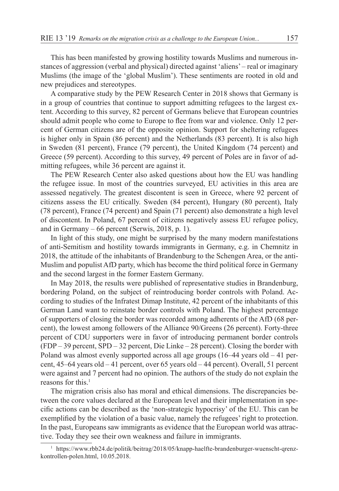This has been manifested by growing hostility towards Muslims and numerous instances of aggression (verbal and physical) directed against 'aliens' – real or imaginary Muslims (the image of the 'global Muslim'). These sentiments are rooted in old and new prejudices and stereotypes.

A comparative study by the PEW Research Center in 2018 shows that Germany is in a group of countries that continue to support admitting refugees to the largest extent. According to this survey, 82 percent of Germans believe that European countries should admit people who come to Europe to flee from war and violence. Only 12 percent of German citizens are of the opposite opinion. Support for sheltering refugees is higher only in Spain (86 percent) and the Netherlands (83 percent). It is also high in Sweden (81 percent), France (79 percent), the United Kingdom (74 percent) and Greece (59 percent). According to this survey, 49 percent of Poles are in favor of admitting refugees, while 36 percent are against it.

The PEW Research Center also asked questions about how the EU was handling the refugee issue. In most of the countries surveyed, EU activities in this area are assessed negatively. The greatest discontent is seen in Greece, where 92 percent of citizens assess the EU critically. Sweden (84 percent), Hungary (80 percent), Italy (78 percent), France (74 percent) and Spain (71 percent) also demonstrate a high level of discontent. In Poland, 67 percent of citizens negatively assess EU refugee policy, and in Germany – 66 percent (Serwis, 2018, p. 1).

In light of this study, one might be surprised by the many modern manifestations of anti-Semitism and hostility towards immigrants in Germany, e.g. in Chemnitz in 2018, the attitude of the inhabitants of Brandenburg to the Schengen Area, or the anti-Muslim and populist AfD party, which has become the third political force in Germany and the second largest in the former Eastern Germany.

In May 2018, the results were published of representative studies in Brandenburg, bordering Poland, on the subject of reintroducing border controls with Poland. According to studies of the Infratest Dimap Institute, 42 percent of the inhabitants of this German Land want to reinstate border controls with Poland. The highest percentage of supporters of closing the border was recorded among adherents of the AfD (68 percent), the lowest among followers of the Alliance 90/Greens (26 percent). Forty-three percent of CDU supporters were in favor of introducing permanent border controls (FDP – 39 percent, SPD – 32 percent, Die Linke – 28 percent). Closing the border with Poland was almost evenly supported across all age groups (16–44 years old – 41 percent, 45–64 years old – 41 percent, over 65 years old – 44 percent). Overall, 51 percent were against and 7 percent had no opinion. The authors of the study do not explain the reasons for this. $<sup>1</sup>$ </sup>

The migration crisis also has moral and ethical dimensions. The discrepancies between the core values declared at the European level and their implementation in specific actions can be described as the 'non-strategic hypocrisy' of the EU. This can be exemplified by the violation of a basic value, namely the refugees' right to protection. In the past, Europeans saw immigrants as evidence that the European world was attractive. Today they see their own weakness and failure in immigrants.

<sup>&</sup>lt;sup>1</sup> https://www.rbb24.de/politik/beitrag/2018/05/knapp-haelfte-brandenburger-wuenscht-grenzkontrollen-polen.html, 10.05.2018.